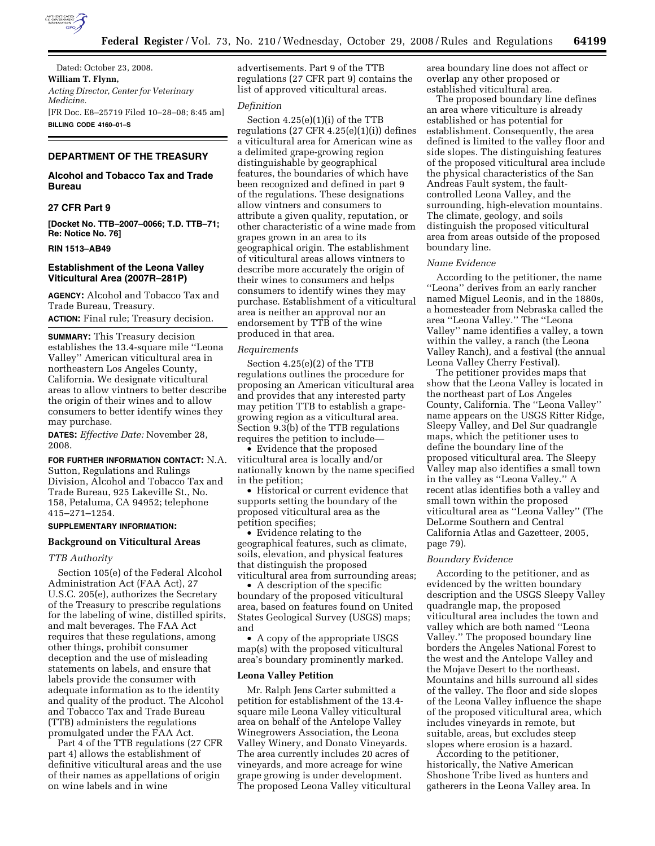

Dated: October 23, 2008. **William T. Flynn,**  *Acting Director, Center for Veterinary Medicine.*  [FR Doc. E8–25719 Filed 10–28–08; 8:45 am] **BILLING CODE 4160–01–S** 

# **DEPARTMENT OF THE TREASURY**

# **Alcohol and Tobacco Tax and Trade Bureau**

# **27 CFR Part 9**

**[Docket No. TTB–2007–0066; T.D. TTB–71; Re: Notice No. 76]** 

### **RIN 1513–AB49**

# **Establishment of the Leona Valley Viticultural Area (2007R–281P)**

**AGENCY:** Alcohol and Tobacco Tax and Trade Bureau, Treasury. **ACTION:** Final rule; Treasury decision.

**SUMMARY:** This Treasury decision establishes the 13.4-square mile ''Leona Valley'' American viticultural area in northeastern Los Angeles County, California. We designate viticultural areas to allow vintners to better describe the origin of their wines and to allow consumers to better identify wines they may purchase.

**DATES:** *Effective Date:* November 28, 2008.

### **FOR FURTHER INFORMATION CONTACT:** N.A.

Sutton, Regulations and Rulings Division, Alcohol and Tobacco Tax and Trade Bureau, 925 Lakeville St., No. 158, Petaluma, CA 94952; telephone 415–271–1254.

### **SUPPLEMENTARY INFORMATION:**

#### **Background on Viticultural Areas**

### *TTB Authority*

Section 105(e) of the Federal Alcohol Administration Act (FAA Act), 27 U.S.C. 205(e), authorizes the Secretary of the Treasury to prescribe regulations for the labeling of wine, distilled spirits, and malt beverages. The FAA Act requires that these regulations, among other things, prohibit consumer deception and the use of misleading statements on labels, and ensure that labels provide the consumer with adequate information as to the identity and quality of the product. The Alcohol and Tobacco Tax and Trade Bureau (TTB) administers the regulations promulgated under the FAA Act.

Part 4 of the TTB regulations (27 CFR part 4) allows the establishment of definitive viticultural areas and the use of their names as appellations of origin on wine labels and in wine

advertisements. Part 9 of the TTB regulations (27 CFR part 9) contains the list of approved viticultural areas.

# *Definition*

Section 4.25(e)(1)(i) of the TTB regulations (27 CFR  $4.25(e)(1)(i)$ ) defines a viticultural area for American wine as a delimited grape-growing region distinguishable by geographical features, the boundaries of which have been recognized and defined in part 9 of the regulations. These designations allow vintners and consumers to attribute a given quality, reputation, or other characteristic of a wine made from grapes grown in an area to its geographical origin. The establishment of viticultural areas allows vintners to describe more accurately the origin of their wines to consumers and helps consumers to identify wines they may purchase. Establishment of a viticultural area is neither an approval nor an endorsement by TTB of the wine produced in that area.

#### *Requirements*

Section 4.25(e)(2) of the TTB regulations outlines the procedure for proposing an American viticultural area and provides that any interested party may petition TTB to establish a grapegrowing region as a viticultural area. Section 9.3(b) of the TTB regulations requires the petition to include—

• Evidence that the proposed viticultural area is locally and/or nationally known by the name specified in the petition;

• Historical or current evidence that supports setting the boundary of the proposed viticultural area as the petition specifies;

• Evidence relating to the geographical features, such as climate, soils, elevation, and physical features that distinguish the proposed viticultural area from surrounding areas;

• A description of the specific boundary of the proposed viticultural area, based on features found on United States Geological Survey (USGS) maps; and

• A copy of the appropriate USGS map(s) with the proposed viticultural area's boundary prominently marked.

# **Leona Valley Petition**

Mr. Ralph Jens Carter submitted a petition for establishment of the 13.4 square mile Leona Valley viticultural area on behalf of the Antelope Valley Winegrowers Association, the Leona Valley Winery, and Donato Vineyards. The area currently includes 20 acres of vineyards, and more acreage for wine grape growing is under development. The proposed Leona Valley viticultural area boundary line does not affect or overlap any other proposed or established viticultural area.

The proposed boundary line defines an area where viticulture is already established or has potential for establishment. Consequently, the area defined is limited to the valley floor and side slopes. The distinguishing features of the proposed viticultural area include the physical characteristics of the San Andreas Fault system, the faultcontrolled Leona Valley, and the surrounding, high-elevation mountains. The climate, geology, and soils distinguish the proposed viticultural area from areas outside of the proposed boundary line.

#### *Name Evidence*

According to the petitioner, the name ''Leona'' derives from an early rancher named Miguel Leonis, and in the 1880s, a homesteader from Nebraska called the area ''Leona Valley.'' The ''Leona Valley'' name identifies a valley, a town within the valley, a ranch (the Leona Valley Ranch), and a festival (the annual Leona Valley Cherry Festival).

The petitioner provides maps that show that the Leona Valley is located in the northeast part of Los Angeles County, California. The ''Leona Valley'' name appears on the USGS Ritter Ridge, Sleepy Valley, and Del Sur quadrangle maps, which the petitioner uses to define the boundary line of the proposed viticultural area. The Sleepy Valley map also identifies a small town in the valley as ''Leona Valley.'' A recent atlas identifies both a valley and small town within the proposed viticultural area as ''Leona Valley'' (The DeLorme Southern and Central California Atlas and Gazetteer, 2005, page 79).

## *Boundary Evidence*

According to the petitioner, and as evidenced by the written boundary description and the USGS Sleepy Valley quadrangle map, the proposed viticultural area includes the town and valley which are both named ''Leona Valley.'' The proposed boundary line borders the Angeles National Forest to the west and the Antelope Valley and the Mojave Desert to the northeast. Mountains and hills surround all sides of the valley. The floor and side slopes of the Leona Valley influence the shape of the proposed viticultural area, which includes vineyards in remote, but suitable, areas, but excludes steep slopes where erosion is a hazard.

According to the petitioner, historically, the Native American Shoshone Tribe lived as hunters and gatherers in the Leona Valley area. In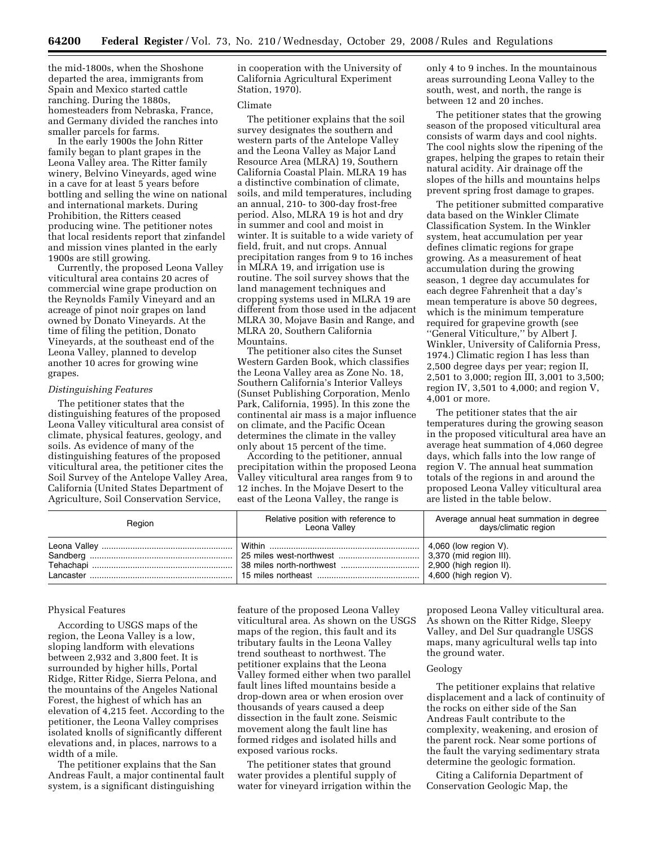the mid-1800s, when the Shoshone departed the area, immigrants from Spain and Mexico started cattle ranching. During the 1880s, homesteaders from Nebraska, France, and Germany divided the ranches into smaller parcels for farms.

In the early 1900s the John Ritter family began to plant grapes in the Leona Valley area. The Ritter family winery, Belvino Vineyards, aged wine in a cave for at least 5 years before bottling and selling the wine on national and international markets. During Prohibition, the Ritters ceased producing wine. The petitioner notes that local residents report that zinfandel and mission vines planted in the early 1900s are still growing.

Currently, the proposed Leona Valley viticultural area contains 20 acres of commercial wine grape production on the Reynolds Family Vineyard and an acreage of pinot noir grapes on land owned by Donato Vineyards. At the time of filing the petition, Donato Vineyards, at the southeast end of the Leona Valley, planned to develop another 10 acres for growing wine grapes.

### *Distinguishing Features*

The petitioner states that the distinguishing features of the proposed Leona Valley viticultural area consist of climate, physical features, geology, and soils. As evidence of many of the distinguishing features of the proposed viticultural area, the petitioner cites the Soil Survey of the Antelope Valley Area, California (United States Department of Agriculture, Soil Conservation Service,

in cooperation with the University of California Agricultural Experiment Station, 1970).

# Climate

The petitioner explains that the soil survey designates the southern and western parts of the Antelope Valley and the Leona Valley as Major Land Resource Area (MLRA) 19, Southern California Coastal Plain. MLRA 19 has a distinctive combination of climate, soils, and mild temperatures, including an annual, 210- to 300-day frost-free period. Also, MLRA 19 is hot and dry in summer and cool and moist in winter. It is suitable to a wide variety of field, fruit, and nut crops. Annual precipitation ranges from 9 to 16 inches in MLRA 19, and irrigation use is routine. The soil survey shows that the land management techniques and cropping systems used in MLRA 19 are different from those used in the adjacent MLRA 30, Mojave Basin and Range, and MLRA 20, Southern California Mountains.

The petitioner also cites the Sunset Western Garden Book, which classifies the Leona Valley area as Zone No. 18, Southern California's Interior Valleys (Sunset Publishing Corporation, Menlo Park, California, 1995). In this zone the continental air mass is a major influence on climate, and the Pacific Ocean determines the climate in the valley only about 15 percent of the time.

According to the petitioner, annual precipitation within the proposed Leona Valley viticultural area ranges from 9 to 12 inches. In the Mojave Desert to the east of the Leona Valley, the range is

only 4 to 9 inches. In the mountainous areas surrounding Leona Valley to the south, west, and north, the range is between 12 and 20 inches.

The petitioner states that the growing season of the proposed viticultural area consists of warm days and cool nights. The cool nights slow the ripening of the grapes, helping the grapes to retain their natural acidity. Air drainage off the slopes of the hills and mountains helps prevent spring frost damage to grapes.

The petitioner submitted comparative data based on the Winkler Climate Classification System. In the Winkler system, heat accumulation per year defines climatic regions for grape growing. As a measurement of heat accumulation during the growing season, 1 degree day accumulates for each degree Fahrenheit that a day's mean temperature is above 50 degrees, which is the minimum temperature required for grapevine growth (see ''General Viticulture,'' by Albert J. Winkler, University of California Press, 1974.) Climatic region I has less than 2,500 degree days per year; region II, 2,501 to 3,000; region III, 3,001 to 3,500; region IV, 3,501 to 4,000; and region V, 4,001 or more.

The petitioner states that the air temperatures during the growing season in the proposed viticultural area have an average heat summation of 4,060 degree days, which falls into the low range of region V. The annual heat summation totals of the regions in and around the proposed Leona Valley viticultural area are listed in the table below.

| Region | Relative position with reference to<br>Leona Valley | Average annual heat summation in degree<br>days/climatic region |
|--------|-----------------------------------------------------|-----------------------------------------------------------------|
|        |                                                     | $\vert$ 4,060 (low region V).<br>$\vert$ 4,600 (high region V). |

### Physical Features

According to USGS maps of the region, the Leona Valley is a low, sloping landform with elevations between 2,932 and 3,800 feet. It is surrounded by higher hills, Portal Ridge, Ritter Ridge, Sierra Pelona, and the mountains of the Angeles National Forest, the highest of which has an elevation of 4,215 feet. According to the petitioner, the Leona Valley comprises isolated knolls of significantly different elevations and, in places, narrows to a width of a mile.

The petitioner explains that the San Andreas Fault, a major continental fault system, is a significant distinguishing

feature of the proposed Leona Valley viticultural area. As shown on the USGS maps of the region, this fault and its tributary faults in the Leona Valley trend southeast to northwest. The petitioner explains that the Leona Valley formed either when two parallel fault lines lifted mountains beside a drop-down area or when erosion over thousands of years caused a deep dissection in the fault zone. Seismic movement along the fault line has formed ridges and isolated hills and exposed various rocks.

The petitioner states that ground water provides a plentiful supply of water for vineyard irrigation within the proposed Leona Valley viticultural area. As shown on the Ritter Ridge, Sleepy Valley, and Del Sur quadrangle USGS maps, many agricultural wells tap into the ground water.

# Geology

The petitioner explains that relative displacement and a lack of continuity of the rocks on either side of the San Andreas Fault contribute to the complexity, weakening, and erosion of the parent rock. Near some portions of the fault the varying sedimentary strata determine the geologic formation.

Citing a California Department of Conservation Geologic Map, the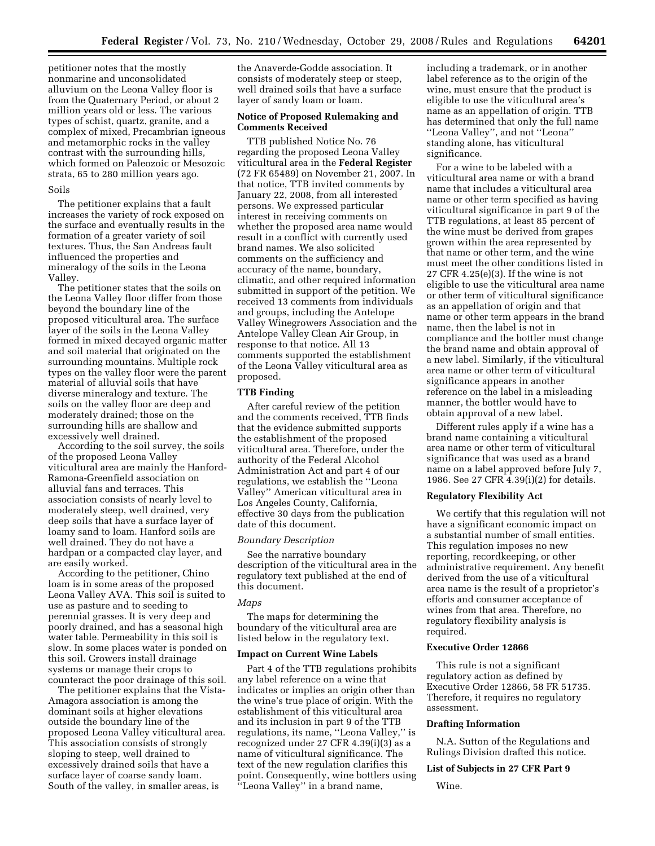petitioner notes that the mostly nonmarine and unconsolidated alluvium on the Leona Valley floor is from the Quaternary Period, or about 2 million years old or less. The various types of schist, quartz, granite, and a complex of mixed, Precambrian igneous and metamorphic rocks in the valley contrast with the surrounding hills, which formed on Paleozoic or Mesozoic strata, 65 to 280 million years ago.

### Soils

The petitioner explains that a fault increases the variety of rock exposed on the surface and eventually results in the formation of a greater variety of soil textures. Thus, the San Andreas fault influenced the properties and mineralogy of the soils in the Leona Valley.

The petitioner states that the soils on the Leona Valley floor differ from those beyond the boundary line of the proposed viticultural area. The surface layer of the soils in the Leona Valley formed in mixed decayed organic matter and soil material that originated on the surrounding mountains. Multiple rock types on the valley floor were the parent material of alluvial soils that have diverse mineralogy and texture. The soils on the valley floor are deep and moderately drained; those on the surrounding hills are shallow and excessively well drained.

According to the soil survey, the soils of the proposed Leona Valley viticultural area are mainly the Hanford-Ramona-Greenfield association on alluvial fans and terraces. This association consists of nearly level to moderately steep, well drained, very deep soils that have a surface layer of loamy sand to loam. Hanford soils are well drained. They do not have a hardpan or a compacted clay layer, and are easily worked.

According to the petitioner, Chino loam is in some areas of the proposed Leona Valley AVA. This soil is suited to use as pasture and to seeding to perennial grasses. It is very deep and poorly drained, and has a seasonal high water table. Permeability in this soil is slow. In some places water is ponded on this soil. Growers install drainage systems or manage their crops to counteract the poor drainage of this soil.

The petitioner explains that the Vista-Amagora association is among the dominant soils at higher elevations outside the boundary line of the proposed Leona Valley viticultural area. This association consists of strongly sloping to steep, well drained to excessively drained soils that have a surface layer of coarse sandy loam. South of the valley, in smaller areas, is

the Anaverde-Godde association. It consists of moderately steep or steep, well drained soils that have a surface layer of sandy loam or loam.

# **Notice of Proposed Rulemaking and Comments Received**

TTB published Notice No. 76 regarding the proposed Leona Valley viticultural area in the **Federal Register**  (72 FR 65489) on November 21, 2007. In that notice, TTB invited comments by January 22, 2008, from all interested persons. We expressed particular interest in receiving comments on whether the proposed area name would result in a conflict with currently used brand names. We also solicited comments on the sufficiency and accuracy of the name, boundary, climatic, and other required information submitted in support of the petition. We received 13 comments from individuals and groups, including the Antelope Valley Winegrowers Association and the Antelope Valley Clean Air Group, in response to that notice. All 13 comments supported the establishment of the Leona Valley viticultural area as proposed.

# **TTB Finding**

After careful review of the petition and the comments received, TTB finds that the evidence submitted supports the establishment of the proposed viticultural area. Therefore, under the authority of the Federal Alcohol Administration Act and part 4 of our regulations, we establish the ''Leona Valley'' American viticultural area in Los Angeles County, California, effective 30 days from the publication date of this document.

#### *Boundary Description*

See the narrative boundary description of the viticultural area in the regulatory text published at the end of this document.

### *Maps*

The maps for determining the boundary of the viticultural area are listed below in the regulatory text.

# **Impact on Current Wine Labels**

Part 4 of the TTB regulations prohibits any label reference on a wine that indicates or implies an origin other than the wine's true place of origin. With the establishment of this viticultural area and its inclusion in part 9 of the TTB regulations, its name, ''Leona Valley,'' is recognized under 27 CFR 4.39(i)(3) as a name of viticultural significance. The text of the new regulation clarifies this point. Consequently, wine bottlers using ''Leona Valley'' in a brand name,

including a trademark, or in another label reference as to the origin of the wine, must ensure that the product is eligible to use the viticultural area's name as an appellation of origin. TTB has determined that only the full name ''Leona Valley'', and not ''Leona'' standing alone, has viticultural significance.

For a wine to be labeled with a viticultural area name or with a brand name that includes a viticultural area name or other term specified as having viticultural significance in part 9 of the TTB regulations, at least 85 percent of the wine must be derived from grapes grown within the area represented by that name or other term, and the wine must meet the other conditions listed in 27 CFR 4.25(e)(3). If the wine is not eligible to use the viticultural area name or other term of viticultural significance as an appellation of origin and that name or other term appears in the brand name, then the label is not in compliance and the bottler must change the brand name and obtain approval of a new label. Similarly, if the viticultural area name or other term of viticultural significance appears in another reference on the label in a misleading manner, the bottler would have to obtain approval of a new label.

Different rules apply if a wine has a brand name containing a viticultural area name or other term of viticultural significance that was used as a brand name on a label approved before July 7, 1986. See 27 CFR 4.39(i)(2) for details.

## **Regulatory Flexibility Act**

We certify that this regulation will not have a significant economic impact on a substantial number of small entities. This regulation imposes no new reporting, recordkeeping, or other administrative requirement. Any benefit derived from the use of a viticultural area name is the result of a proprietor's efforts and consumer acceptance of wines from that area. Therefore, no regulatory flexibility analysis is required.

# **Executive Order 12866**

This rule is not a significant regulatory action as defined by Executive Order 12866, 58 FR 51735. Therefore, it requires no regulatory assessment.

### **Drafting Information**

N.A. Sutton of the Regulations and Rulings Division drafted this notice.

# **List of Subjects in 27 CFR Part 9**

Wine.